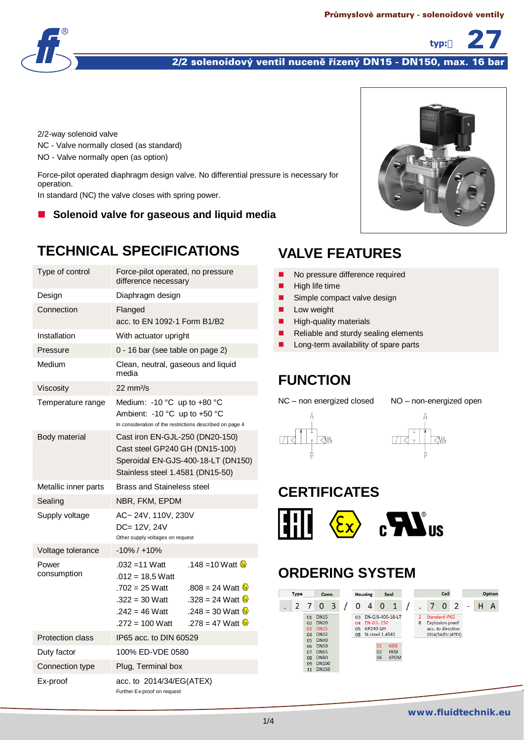

### 2/2 solenoidový ventil nuceně řízený DN15 - DN150, max. 16 bar

2/2-way solenoid valve NC - Valve normally closed (as standard) NO - Valve normally open (as option)

Force-pilot operated diaphragm design valve. No differential pressure is necessary for operation.

In standard (NC) the valve closes with spring power.

**Solenoid valve for gaseous and liquid media**

# **TECHNICAL SPECIFICATIONS**

| Type of control             | Force-pilot operated, no pressure<br>difference necessary                                                               |                                                                                             |
|-----------------------------|-------------------------------------------------------------------------------------------------------------------------|---------------------------------------------------------------------------------------------|
| Design                      | Diaphragm design                                                                                                        |                                                                                             |
| Connection                  | Flanged<br>acc. to EN 1092-1 Form B1/B2                                                                                 |                                                                                             |
| Installation                | With actuator upright                                                                                                   |                                                                                             |
| Pressure                    | 0 - 16 bar (see table on page 2)                                                                                        |                                                                                             |
| Medium                      | Clean, neutral, gaseous and liquid<br>media                                                                             |                                                                                             |
| Viscosity                   | $22 \text{ mm}^2\text{/s}$                                                                                              |                                                                                             |
| Temperature range           | Medium: -10 °C up to +80 °C<br>Ambient: -10 °C up to +50 °C<br>In consideration of the restrictions described on page 4 |                                                                                             |
| Body material               | Cast iron EN-GJL-250 (DN20-150)<br>Cast steel GP240 GH (DN15-100)<br>Stainless steel 1.4581 (DN15-50)                   | Speroidal EN-GJS-400-18-LT (DN150)                                                          |
| Metallic inner parts        | <b>Brass and Staineless steel</b>                                                                                       |                                                                                             |
| Sealing                     | NBR, FKM, EPDM                                                                                                          |                                                                                             |
| Supply voltage              | AC~24V, 110V, 230V<br>DC= 12V, 24V<br>Other supply voltages on request                                                  |                                                                                             |
| Voltage tolerance           | $-10\% / +10\%$                                                                                                         |                                                                                             |
| Power<br>consumption        | $.032 = 11$ Watt                                                                                                        | .148 = 10 Watt $\&$                                                                         |
|                             | $.012 = 18.5$ Watt<br>$.702 = 25$ Watt<br>$.322 = 30$ Watt<br>.242 = 46 Watt                                            | .808 = 24 Watt $\frac{8}{2}$<br>.328 = 24 Watt $\omega$<br>.248 = 30 Watt $\mathbf{\Omega}$ |
|                             | $.272 = 100$ Watt                                                                                                       | .278 = 47 Watt $\omega$                                                                     |
| <b>Protection class</b>     | IP65 acc. to DIN 60529                                                                                                  |                                                                                             |
| Duty factor                 | 100% ED-VDE 0580                                                                                                        |                                                                                             |
| Connection type<br>Ex-proof | Plug, Terminal box<br>acc. to 2014/34/EG(ATEX)                                                                          |                                                                                             |



typ:

## **VALVE FEATURES**

- No pressure difference required
- $\blacksquare$  High life time
- Simple compact valve design
- **Low weight**
- $\blacksquare$  High-quality materials
- Reliable and sturdy sealing elements
- Long-term availability of spare parts

### **FUNCTION**

NC – non energized closed NO – non-energized open





### **CERTIFICATES**



# **ORDERING SYSTEM**

| <b>Type</b> |                                                                       | Conn.                                                                                                                                                |   |                | <b>Housing</b>                                             |                | Seal                                                               | Coil   |   |                                                                     |                   | <b>Option</b> |   |
|-------------|-----------------------------------------------------------------------|------------------------------------------------------------------------------------------------------------------------------------------------------|---|----------------|------------------------------------------------------------|----------------|--------------------------------------------------------------------|--------|---|---------------------------------------------------------------------|-------------------|---------------|---|
|             |                                                                       | 0                                                                                                                                                    | 3 | 0              | 4                                                          | 0              | 1                                                                  |        | 7 | 0                                                                   | -2                | ۰             | А |
|             | 01<br>02 <sup>2</sup><br>03<br>04<br>05<br>06<br>07<br>08<br>09<br>11 | <b>DN15</b><br><b>DN20</b><br><b>DN25</b><br><b>DN32</b><br><b>DN40</b><br><b>DN50</b><br><b>DN65</b><br><b>DN80</b><br><b>DN100</b><br><b>DN150</b> |   | 03<br>04<br>05 | <b>FN-GIL-250</b><br><b>GP240 GH</b><br>08 St.steel 1.4581 | 01<br>02<br>06 | <b>EN-GJS-400-18-LT</b><br><b>NBR</b><br><b>FKM</b><br><b>EPDM</b> | 2<br>8 |   | <b>Standard IP65</b><br><b>Explosion proof</b><br>acc. to directive | 2014/34/EU (ATEX) |               |   |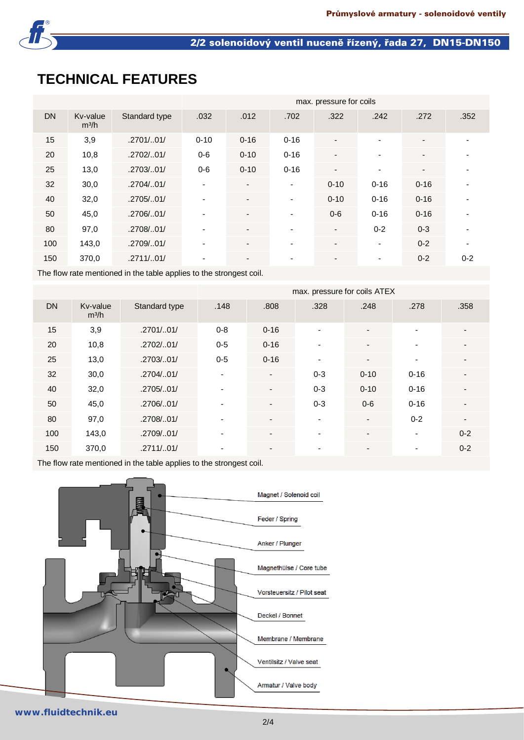

### 2/2 solenoidový ventil nuceně řízený, řada 27, DN15-DN150

# **TECHNICAL FEATURES**

|           |                               |               | max. pressure for coils  |                          |                          |                          |          |                          |         |  |  |  |
|-----------|-------------------------------|---------------|--------------------------|--------------------------|--------------------------|--------------------------|----------|--------------------------|---------|--|--|--|
| <b>DN</b> | Kv-value<br>m <sup>3</sup> /h | Standard type | .032                     | .012                     | .702                     | .322                     | .242     | .272                     | .352    |  |  |  |
| 15        | 3,9                           | .2701/01/     | $0 - 10$                 | $0 - 16$                 | $0 - 16$                 |                          | -        | $\overline{\phantom{a}}$ |         |  |  |  |
| 20        | 10,8                          | .2702/01/     | $0-6$                    | $0 - 10$                 | $0 - 16$                 | $\blacksquare$           | ٠        | $\overline{\phantom{a}}$ |         |  |  |  |
| 25        | 13,0                          | .2703/01/     | $0 - 6$                  | $0 - 10$                 | $0 - 16$                 | $\overline{\phantom{a}}$ | ٠        | $\overline{\phantom{a}}$ |         |  |  |  |
| 32        | 30,0                          | .2704/0.01/   | ٠                        | $\overline{\phantom{a}}$ | $\overline{\phantom{a}}$ | $0 - 10$                 | $0 - 16$ | $0 - 16$                 |         |  |  |  |
| 40        | 32,0                          | .2705/0.01/   | ۰.                       | $\blacksquare$           | $\overline{\phantom{a}}$ | $0 - 10$                 | $0 - 16$ | $0 - 16$                 |         |  |  |  |
| 50        | 45,0                          | .2706/01/     |                          | $\overline{\phantom{a}}$ | $\overline{\phantom{a}}$ | $0-6$                    | $0 - 16$ | $0 - 16$                 |         |  |  |  |
| 80        | 97,0                          | .2708/01/     | ٠                        | $\blacksquare$           | $\blacksquare$           | $\blacksquare$           | $0 - 2$  | $0 - 3$                  |         |  |  |  |
| 100       | 143,0                         | .2709/01/     | $\overline{\phantom{0}}$ |                          | ٠                        |                          | ٠        | $0 - 2$                  | ٠       |  |  |  |
| 150       | 370,0                         | .2711/.01/    | ۰.                       | $\overline{\phantom{a}}$ | ٠                        | $\overline{\phantom{a}}$ | ٠        | $0 - 2$                  | $0 - 2$ |  |  |  |

The flow rate mentioned in the table applies to the strongest coil.

|           |                               |               | max. pressure for coils ATEX |                          |                          |                          |                          |                          |  |  |  |  |
|-----------|-------------------------------|---------------|------------------------------|--------------------------|--------------------------|--------------------------|--------------------------|--------------------------|--|--|--|--|
| <b>DN</b> | Kv-value<br>m <sup>3</sup> /h | Standard type | .148                         | .808                     | .328                     | .248                     | .278                     | .358                     |  |  |  |  |
| 15        | 3,9                           | .2701/.01/    | $0 - 8$                      | $0 - 16$                 | $\overline{\phantom{a}}$ | $\overline{\phantom{a}}$ | $\blacksquare$           |                          |  |  |  |  |
| 20        | 10,8                          | .2702/.01/    | $0 - 5$                      | $0 - 16$                 |                          |                          |                          |                          |  |  |  |  |
| 25        | 13,0                          | .2703/01/     | $0-5$                        | $0 - 16$                 | $\blacksquare$           | $\blacksquare$           | $\blacksquare$           |                          |  |  |  |  |
| 32        | 30,0                          | .2704/01/     |                              |                          | $0 - 3$                  | $0 - 10$                 | $0 - 16$                 |                          |  |  |  |  |
| 40        | 32,0                          | .2705/01/     | $\blacksquare$               | $\blacksquare$           | $0 - 3$                  | $0 - 10$                 | $0 - 16$                 |                          |  |  |  |  |
| 50        | 45,0                          | .2706/01/     |                              |                          | $0 - 3$                  | $0-6$                    | $0 - 16$                 |                          |  |  |  |  |
| 80        | 97,0                          | .2708/01/     |                              | $\overline{\phantom{a}}$ | $\blacksquare$           | $\overline{\phantom{a}}$ | $0 - 2$                  | $\overline{\phantom{a}}$ |  |  |  |  |
| 100       | 143,0                         | .2709/01/     | $\blacksquare$               | $\blacksquare$           | $\overline{\phantom{a}}$ | $\overline{\phantom{a}}$ | $\blacksquare$           | $0 - 2$                  |  |  |  |  |
| 150       | 370,0                         | .2711/.01/    | $\overline{\phantom{0}}$     |                          | $\blacksquare$           |                          | $\overline{\phantom{0}}$ | $0 - 2$                  |  |  |  |  |

The flow rate mentioned in the table applies to the strongest coil.



#### **www.fluidtechnik.eu**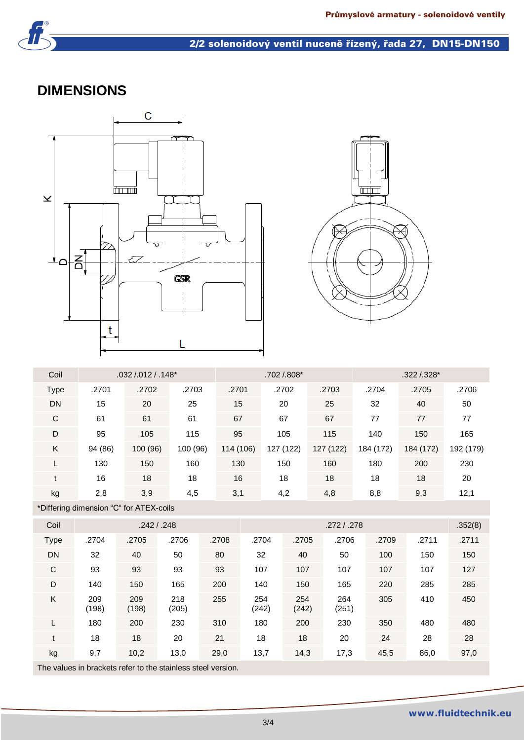

### 2/2 solenoidový ventil nuceně řízený, řada 27, DN15-DN150

### **DIMENSIONS**





| Coil        |         | $.032/0.012/0.148*$ |          |           | .702 /.808* |           | .322 /.328* |           |           |  |
|-------------|---------|---------------------|----------|-----------|-------------|-----------|-------------|-----------|-----------|--|
| <b>Type</b> | .2701   | .2702               | .2703    | .2701     | .2702       | .2703     | .2704       | .2705     | .2706     |  |
| <b>DN</b>   | 15      | 20                  | 25       | 15        | 20          | 25        | 32          | 40        | 50        |  |
| C           | 61      | 61                  | 61       | 67        | 67          | 67        | 77          | 77        | 77        |  |
| D           | 95      | 105                 | 115      | 95        | 105         | 115       | 140         | 150       | 165       |  |
| K           | 94 (86) | 100 (96)            | 100 (96) | 114 (106) | 127 (122)   | 127 (122) | 184 (172)   | 184 (172) | 192 (179) |  |
|             | 130     | 150                 | 160      | 130       | 150         | 160       | 180         | 200       | 230       |  |
| t           | 16      | 18                  | 18       | 16        | 18          | 18        | 18          | 18        | 20        |  |
| kg          | 2,8     | 3,9                 | 4,5      | 3,1       | 4,2         | 4,8       | 8,8         | 9,3       | 12,1      |  |

\*Differing dimension "C" for ATEX-coils

| Coil        |              |              | .242 / .248  |       |              | .352(8)      |              |       |       |       |
|-------------|--------------|--------------|--------------|-------|--------------|--------------|--------------|-------|-------|-------|
| <b>Type</b> | .2704        | .2705        | .2706        | .2708 | .2704        | .2705        | .2706        | .2709 | .2711 | .2711 |
| <b>DN</b>   | 32           | 40           | 50           | 80    | 32           | 40           | 50           | 100   | 150   | 150   |
| C           | 93           | 93           | 93           | 93    | 107          | 107          | 107          | 107   | 107   | 127   |
| D           | 140          | 150          | 165          | 200   | 140          | 150          | 165          | 220   | 285   | 285   |
| Κ           | 209<br>(198) | 209<br>(198) | 218<br>(205) | 255   | 254<br>(242) | 254<br>(242) | 264<br>(251) | 305   | 410   | 450   |
|             | 180          | 200          | 230          | 310   | 180          | 200          | 230          | 350   | 480   | 480   |
| t           | 18           | 18           | 20           | 21    | 18           | 18           | 20           | 24    | 28    | 28    |
| kg          | 9,7          | 10,2         | 13,0         | 29,0  | 13,7         | 14,3         | 17,3         | 45,5  | 86,0  | 97,0  |

The values in brackets refer to the stainless steel version.